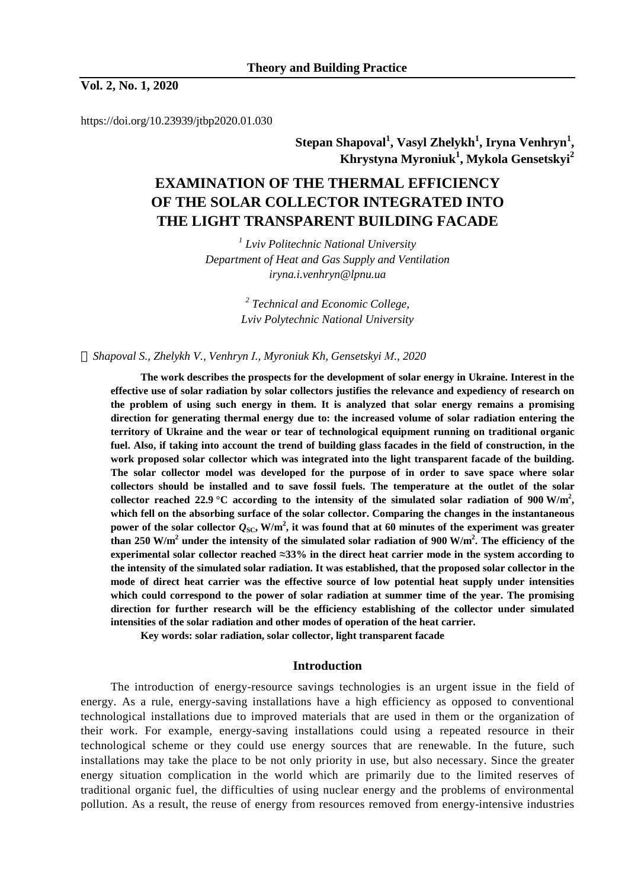**Vol. 2, No. 1, 2020** 

https://doi.org/10.23939/jtbp2020.01.030

**Stepan Shapoval<sup>1</sup> , Vasyl Zhelykh<sup>1</sup> , Iryna Venhryn<sup>1</sup> , Khrystyna Myroniuk<sup>1</sup> , Mykola Gensetskyi<sup>2</sup>**

# **EXAMINATION OF THE THERMAL EFFICIENCY OF THE SOLAR COLLECTOR INTEGRATED INTO THE LIGHT TRANSPARENT BUILDING FACADE**

*1 Lviv Politechnic National University Department of Heat and Gas Supply and Ventilation iryna.i.venhryn@lpnu.ua* 

> *2 Technical and Economic College, Lviv Polytechnic National University*

 *Shapoval S., Zhelykh V., Venhryn І., Myroniuk Kh, Gensetskyi М., 2020* 

**The work describes the prospects for the development of solar energy in Ukraine. Interest in the effective use of solar radiation by solar collectors justifies the relevance and expediency of research on the problem of using such energy in them. It is analyzed that solar energy remains a promising direction for generating thermal energy due to: the increased volume of solar radiation entering the territory of Ukraine and the wear or tear of technological equipment running on traditional organic**  fuel. Also, if taking into account the trend of building glass facades in the field of construction, in the **work proposed solar collector which was integrated into the light transparent facade of the building. The solar collector model was developed for the purpose of in order to save space where solar collectors should be installed and to save fossil fuels. The temperature at the outlet of the solar**  collector reached 22.9 °C according to the intensity of the simulated solar radiation of 900 W/m<sup>2</sup>, **which fell on the absorbing surface of the solar collector. Comparing the changes in the instantaneous**  power of the solar collector  $Q_{\rm SC}$ , W/m<sup>2</sup>, it was found that at 60 minutes of the experiment was greater than 250 W/m<sup>2</sup> under the intensity of the simulated solar radiation of 900 W/m<sup>2</sup>. The efficiency of the **experimental solar collector reached ≈33% in the direct heat carrier mode in the system according to the intensity of the simulated solar radiation. It was established, that the proposed solar collector in the mode of direct heat carrier was the effective source of low potential heat supply under intensities which could correspond to the power of solar radiation at summer time of the year. The promising direction for further research will be the efficiency establishing of the collector under simulated intensities of the solar radiation and other modes of operation of the heat carrier.** 

**Key words: solar radiation, solar collector, light transparent facade** 

## **Introduction**

The introduction of energy-resource savings technologies is an urgent issue in the field of energy. As a rule, energy-saving installations have a high efficiency as opposed to conventional technological installations due to improved materials that are used in them or the organization of their work. For example, energy-saving installations could using a repeated resource in their technological scheme or they could use energy sources that are renewable. In the future, such installations may take the place to be not only priority in use, but also necessary. Since the greater energy situation complication in the world which are primarily due to the limited reserves of traditional organic fuel, the difficulties of using nuclear energy and the problems of environmental pollution. As a result, the reuse of energy from resources removed from energy-intensive industries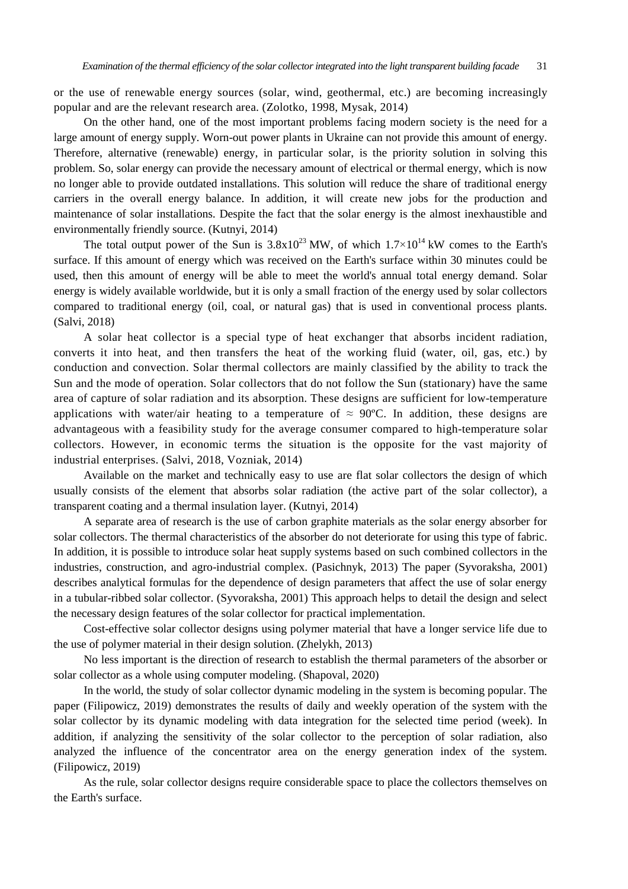or the use of renewable energy sources (solar, wind, geothermal, etc.) are becoming increasingly popular and are the relevant research area. (Zolotko, 1998, Mysak, 2014)

On the other hand, one of the most important problems facing modern society is the need for a large amount of energy supply. Worn-out power plants in Ukraine can not provide this amount of energy. Therefore, alternative (renewable) energy, in particular solar, is the priority solution in solving this problem. So, solar energy can provide the necessary amount of electrical or thermal energy, which is now no longer able to provide outdated installations. This solution will reduce the share of traditional energy carriers in the overall energy balance. In addition, it will create new jobs for the production and maintenance of solar installations. Despite the fact that the solar energy is the almost inexhaustible and environmentally friendly source. (Kutnyi, 2014)

The total output power of the Sun is  $3.8x10^{23}$  MW, of which  $1.7\times10^{14}$  kW comes to the Earth's surface. If this amount of energy which was received on the Earth's surface within 30 minutes could be used, then this amount of energy will be able to meet the world's annual total energy demand. Solar energy is widely available worldwide, but it is only a small fraction of the energy used by solar collectors compared to traditional energy (oil, coal, or natural gas) that is used in conventional process plants. (Salvi, 2018)

A solar heat collector is a special type of heat exchanger that absorbs incident radiation, converts it into heat, and then transfers the heat of the working fluid (water, oil, gas, etc.) by conduction and convection. Solar thermal collectors are mainly classified by the ability to track the Sun and the mode of operation. Solar collectors that do not follow the Sun (stationary) have the same area of capture of solar radiation and its absorption. These designs are sufficient for low-temperature applications with water/air heating to a temperature of  $\approx 90^{\circ}$ C. In addition, these designs are advantageous with a feasibility study for the average consumer compared to high-temperature solar collectors. However, in economic terms the situation is the opposite for the vast majority of industrial enterprises. (Salvi, 2018, Vozniak, 2014)

Available on the market and technically easy to use are flat solar collectors the design of which usually consists of the element that absorbs solar radiation (the active part of the solar collector), a transparent coating and a thermal insulation layer. (Kutnyi, 2014)

A separate area of research is the use of carbon graphite materials as the solar energy absorber for solar collectors. The thermal characteristics of the absorber do not deteriorate for using this type of fabric. In addition, it is possible to introduce solar heat supply systems based on such combined collectors in the industries, construction, and agro-industrial complex. (Pasichnyk, 2013) The paper (Syvoraksha, 2001) describes analytical formulas for the dependence of design parameters that affect the use of solar energy in a tubular-ribbed solar collector. (Syvoraksha, 2001) This approach helps to detail the design and select the necessary design features of the solar collector for practical implementation.

Cost-effective solar collector designs using polymer material that have a longer service life due to the use of polymer material in their design solution. (Zhelykh, 2013)

No less important is the direction of research to establish the thermal parameters of the absorber or solar collector as a whole using computer modeling. (Shapoval, 2020)

In the world, the study of solar collector dynamic modeling in the system is becoming popular. The paper (Filipowicz, 2019) demonstrates the results of daily and weekly operation of the system with the solar collector by its dynamic modeling with data integration for the selected time period (week). In addition, if analyzing the sensitivity of the solar collector to the perception of solar radiation, also analyzed the influence of the concentrator area on the energy generation index of the system. (Filipowicz, 2019)

As the rule, solar collector designs require considerable space to place the collectors themselves on the Earth's surface.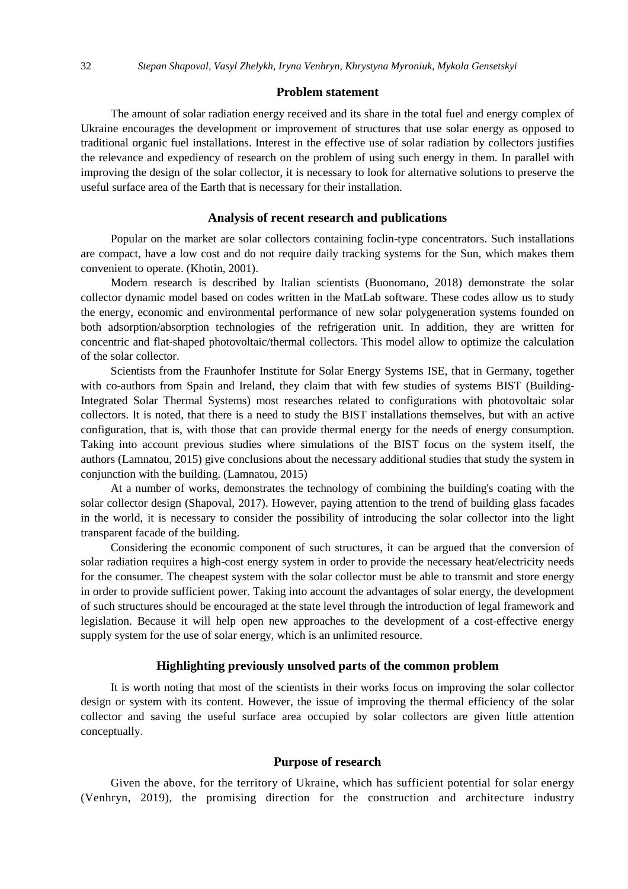### **Problem statement**

The amount of solar radiation energy received and its share in the total fuel and energy complex of Ukraine encourages the development or improvement of structures that use solar energy as opposed to traditional organic fuel installations. Interest in the effective use of solar radiation by collectors justifies the relevance and expediency of research on the problem of using such energy in them. In parallel with improving the design of the solar collector, it is necessary to look for alternative solutions to preserve the useful surface area of the Earth that is necessary for their installation.

## **Analysis of recent research and publications**

Popular on the market are solar collectors containing foclin-type concentrators. Such installations are compact, have a low cost and do not require daily tracking systems for the Sun, which makes them convenient to operate. (Khotin, 2001).

Modern research is described by Italian scientists (Buonomano, 2018) demonstrate the solar collector dynamic model based on codes written in the MatLab software. These codes allow us to study the energy, economic and environmental performance of new solar polygeneration systems founded on both adsorption/absorption technologies of the refrigeration unit. In addition, they are written for concentric and flat-shaped photovoltaic/thermal collectors. This model allow to optimize the calculation of the solar collector.

Scientists from the Fraunhofer Institute for Solar Energy Systems ISE, that in Germany, together with co-authors from Spain and Ireland, they claim that with few studies of systems BIST (Building-Integrated Solar Thermal Systems) most researches related to configurations with photovoltaic solar collectors. It is noted, that there is a need to study the BIST installations themselves, but with an active configuration, that is, with those that can provide thermal energy for the needs of energy consumption. Taking into account previous studies where simulations of the BIST focus on the system itself, the authors (Lamnatou, 2015) give conclusions about the necessary additional studies that study the system in conjunction with the building. (Lamnatou, 2015)

At a number of works, demonstrates the technology of combining the building's coating with the solar collector design (Shapoval, 2017). However, paying attention to the trend of building glass facades in the world, it is necessary to consider the possibility of introducing the solar collector into the light transparent facade of the building.

Considering the economic component of such structures, it can be argued that the conversion of solar radiation requires a high-cost energy system in order to provide the necessary heat/electricity needs for the consumer. The cheapest system with the solar collector must be able to transmit and store energy in order to provide sufficient power. Taking into account the advantages of solar energy, the development of such structures should be encouraged at the state level through the introduction of legal framework and legislation. Because it will help open new approaches to the development of a cost-effective energy supply system for the use of solar energy, which is an unlimited resource.

#### **Highlighting previously unsolved parts of the common problem**

It is worth noting that most of the scientists in their works focus on improving the solar collector design or system with its content. However, the issue of improving the thermal efficiency of the solar collector and saving the useful surface area occupied by solar collectors are given little attention conceptually.

#### **Purpose of research**

Given the above, for the territory of Ukraine, which has sufficient potential for solar energy (Venhryn, 2019), the promising direction for the construction and architecture industry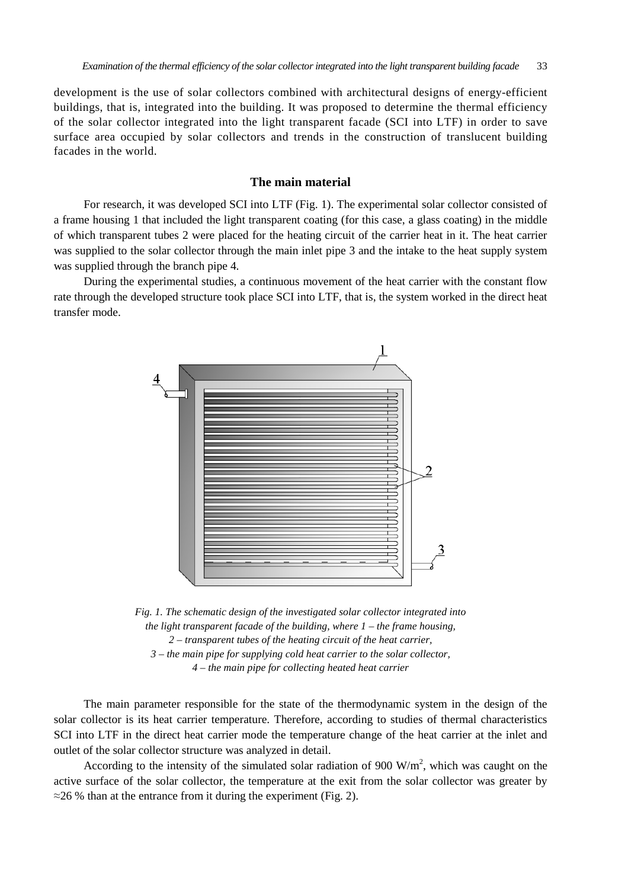development is the use of solar collectors combined with architectural designs of energy-efficient buildings, that is, integrated into the building. It was proposed to determine the thermal efficiency of the solar collector integrated into the light transparent facade (SCI into LTF) in order to save surface area occupied by solar collectors and trends in the construction of translucent building facades in the world.

## **The main material**

For research, it was developed SCI into LTF (Fig. 1). The experimental solar collector consisted of a frame housing 1 that included the light transparent coating (for this case, a glass coating) in the middle of which transparent tubes 2 were placed for the heating circuit of the carrier heat in it. The heat carrier was supplied to the solar collector through the main inlet pipe 3 and the intake to the heat supply system was supplied through the branch pipe 4.

During the experimental studies, a continuous movement of the heat carrier with the constant flow rate through the developed structure took place SCI into LTF, that is, the system worked in the direct heat transfer mode.



*Fig. 1. The schematic design of the investigated solar collector integrated into the light transparent facade of the building, where 1 – the frame housing, 2 – transparent tubes of the heating circuit of the heat carrier, 3 – the main pipe for supplying cold heat carrier to the solar collector, 4 – the main pipe for collecting heated heat carrier* 

The main parameter responsible for the state of the thermodynamic system in the design of the solar collector is its heat carrier temperature. Therefore, according to studies of thermal characteristics SCI into LTF in the direct heat carrier mode the temperature change of the heat carrier at the inlet and outlet of the solar collector structure was analyzed in detail.

According to the intensity of the simulated solar radiation of 900  $W/m<sup>2</sup>$ , which was caught on the active surface of the solar collector, the temperature at the exit from the solar collector was greater by  $\approx$ 26 % than at the entrance from it during the experiment (Fig. 2).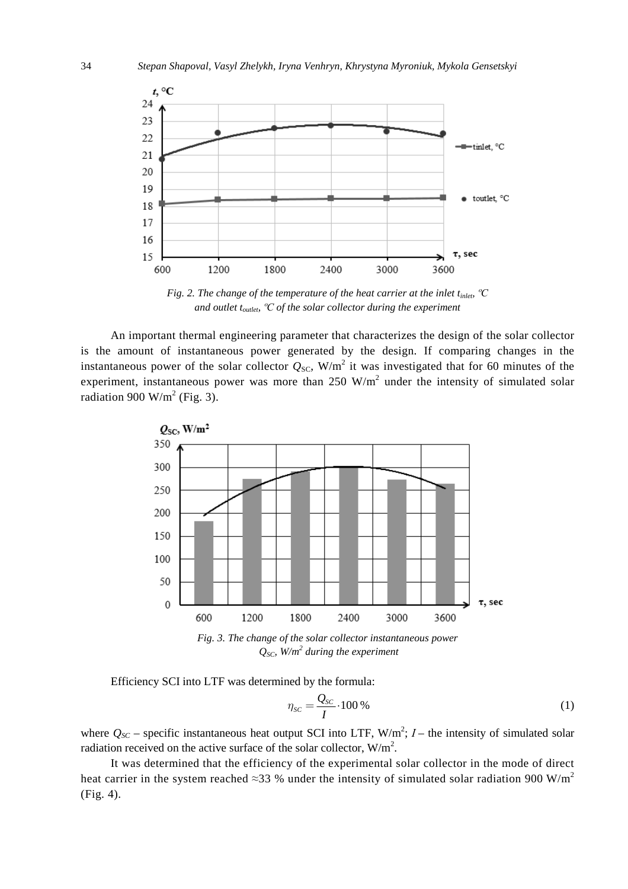

*Fig. 2. The change of the temperature of the heat carrier at the inlet tinlet, ºС and outlet toutlet, ºС of the solar collector during the experiment* 

An important thermal engineering parameter that characterizes the design of the solar collector is the amount of instantaneous power generated by the design. If comparing changes in the instantaneous power of the solar collector  $Q_{SC}$ , W/m<sup>2</sup> it was investigated that for 60 minutes of the experiment, instantaneous power was more than  $250 \text{ W/m}^2$  under the intensity of simulated solar radiation 900 W/m<sup>2</sup> (Fig. 3).



*Fig. 3. The change of the solar collector instantaneous power QSC, W/m<sup>2</sup> during the experiment* 

Efficiency SCI into LTF was determined by the formula:

$$
\eta_{sc} = \frac{Q_{sc}}{I} \cdot 100\,\%
$$
\n<sup>(1)</sup>

where  $Q_{SC}$  – specific instantaneous heat output SCI into LTF,  $W/m^2$ ;  $I$  – the intensity of simulated solar radiation received on the active surface of the solar collector,  $W/m^2$ .

It was determined that the efficiency of the experimental solar collector in the mode of direct heat carrier in the system reached ≈33 % under the intensity of simulated solar radiation 900 W/m<sup>2</sup> (Fig. 4).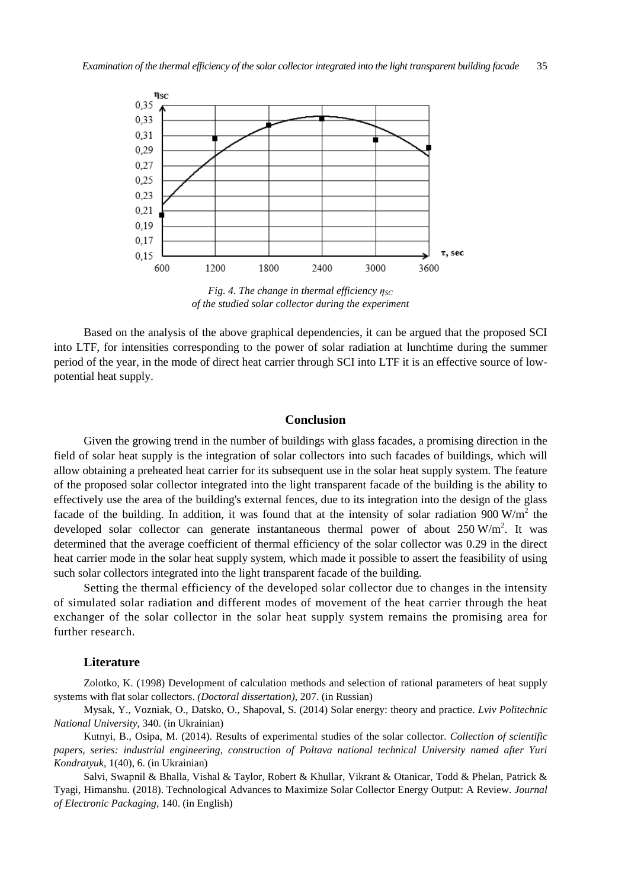

*Fig. 4. The change in thermal efficiency ηSC of the studied solar collector during the experiment* 

Based on the analysis of the above graphical dependencies, it can be argued that the proposed SCI into LTF, for intensities corresponding to the power of solar radiation at lunchtime during the summer period of the year, in the mode of direct heat carrier through SCI into LTF it is an effective source of lowpotential heat supply.

## **Conclusion**

Given the growing trend in the number of buildings with glass facades, a promising direction in the field of solar heat supply is the integration of solar collectors into such facades of buildings, which will allow obtaining a preheated heat carrier for its subsequent use in the solar heat supply system. The feature of the proposed solar collector integrated into the light transparent facade of the building is the ability to effectively use the area of the building's external fences, due to its integration into the design of the glass facade of the building. In addition, it was found that at the intensity of solar radiation  $900 \text{ W/m}^2$  the developed solar collector can generate instantaneous thermal power of about  $250$  W/m<sup>2</sup>. It was determined that the average coefficient of thermal efficiency of the solar collector was 0.29 in the direct heat carrier mode in the solar heat supply system, which made it possible to assert the feasibility of using such solar collectors integrated into the light transparent facade of the building.

Setting the thermal efficiency of the developed solar collector due to changes in the intensity of simulated solar radiation and different modes of movement of the heat carrier through the heat exchanger of the solar collector in the solar heat supply system remains the promising area for further research.

#### **Literature**

Zolotko, K. (1998) Development of calculation methods and selection of rational parameters of heat supply systems with flat solar collectors. *(Doctoral dissertation)*, 207. (in Russian)

Mysak, Y., Vozniak, О., Datsko, О., Shapoval, S. (2014) Solar energy: theory and practice. *Lviv Politechnic National University*, 340. (in Ukrainian)

Kutnyi, B., Osipa, M. (2014). Results of experimental studies of the solar collector. *Collection of scientific papers, series: industrial engineering, construction of Poltava national technical University named after Yuri Kondratyuk*, 1(40), 6. (in Ukrainian)

Salvi, Swapnil & Bhalla, Vishal & Taylor, Robert & Khullar, Vikrant & Otanicar, Todd & Phelan, Patrick & Tyagi, Himanshu. (2018). Technological Advances to Maximize Solar Collector Energy Output: A Review. *Journal of Electronic Packaging*, 140. (in English)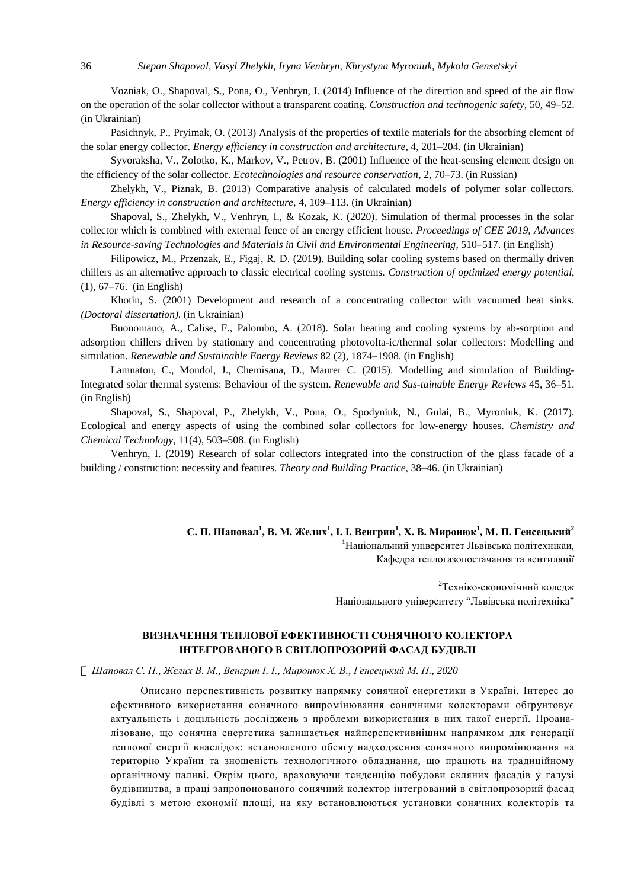Vozniak, О., Shapoval, S., Pona, O., Venhryn, I. (2014) Influence of the direction and speed of the air flow on the operation of the solar collector without a transparent coating. *Construction and technogenic safety*, 50, 49–52. (in Ukrainian)

Pasichnyk, P., Pryimak, O. (2013) Analysis of the properties of textile materials for the absorbing element of the solar energy collector. *Energy efficiency in construction and architecture*, 4, 201–204. (in Ukrainian)

Syvoraksha, V., Zolotko, K., Markov, V., Petrov, B. (2001) Influence of the heat-sensing element design on the efficiency of the solar collector. *Ecotechnologies and resource conservation*, 2, 70–73. (in Russian)

Zhelykh, V., Piznak, B. (2013) Comparative analysis of calculated models of polymer solar collectors. *Energy efficiency in construction and architecture,* 4, 109–113. (in Ukrainian)

Shapoval, S., Zhelykh, V., Venhryn, I., & Kozak, K. (2020). Simulation of thermal processes in the solar collector which is combined with external fence of an energy efficient house. *Proceedings of CEE 2019, Advances in Resource-saving Technologies and Materials in Civil and Environmental Engineering*, 510–517. (in English)

Filipowicz, M., Przenzak, E., Figaj, R. D. (2019). Building solar cooling systems based on thermally driven chillers as an alternative approach to classic electrical cooling systems. *Construction of optimized energy potential*, (1), 67–76. (in English)

Khotin, S. (2001) Development and research of a concentrating collector with vacuumed heat sinks. *(Doctoral dissertation)*. (in Ukrainian)

Buonomano, A., Calise, F., Palombo, A. (2018). Solar heating and cooling systems by ab-sorption and adsorption chillers driven by stationary and concentrating photovolta-ic/thermal solar collectors: Modelling and simulation. *Renewable and Sustainable Energy Reviews* 82 (2), 1874–1908. (in English)

Lamnatou, C., Mondol, J., Chemisana, D., Maurer C. (2015). Modelling and simulation of Building-Integrated solar thermal systems: Behaviour of the system. *Renewable and Sus-tainable Energy Reviews* 45, 36–51. (in English)

Shapoval, S., Shapoval, P., Zhelykh, V., Pona, O., Spodyniuk, N., Gulai, B., Myroniuk, K. (2017). Ecological and energy aspects of using the combined solar collectors for low-energy houses. *Chemistry and Chemical Technology*, 11(4), 503–508. (in English)

Venhryn, I. (2019) Research of solar collectors integrated into the construction of the glass facade of a building / construction: necessity and features. *Theory and Building Practice*, 38–46. (in Ukrainian)

> С. П. Шаповал<sup>1</sup>, В. М. Желих<sup>1</sup>, І. І. Венгрин<sup>1</sup>, Х. В. Миронюк<sup>1</sup>, М. П. Генсецький<sup>2</sup> <sup>1</sup>Національний університет Львівська політехнікаи, Кафедра теплогазопостачання та вентиляції

> > $2$ Техніко-економічний колелж Національного університету "Львівська політехніка"

## **ВИЗНАЧЕННЯ ТЕПЛОВОЇ ЕФЕКТИВНОСТІ СОНЯЧНОГО КОЛЕКТОРА ІНТЕГРОВАНОГО В СВІТЛОПРОЗОРИЙ ФАСАД БУДІВЛІ**

О Шаповал С. П., Желих В. М., Венгрин І. І., Миронюк Х. В., Генсецький М. П., 2020

Описано перспективність розвитку напрямку сонячної енергетики в Україні. Інтерес до ефективного використання сонячного випромінювання сонячними колекторами обґрунтовує актуальність і доцільність досліджень з проблеми використання в них такої енергії. Проаналізовано, що сонячна енергетика залишається найперспективнішим напрямком для генерації теплової енергії внаслідок: встановленого обсягу надходження сонячного випромінювання на територію України та зношеність технологічного обладнання, що працють на традиційному органічному паливі. Окрім цього, враховуючи тенденцію побудови скляних фасадів у галузі будівництва, в праці запропонованого сонячний колектор інтегрований в світлопрозорий фасад будівлі з метою економії площі, на яку встановлюються установки сонячних колекторів та